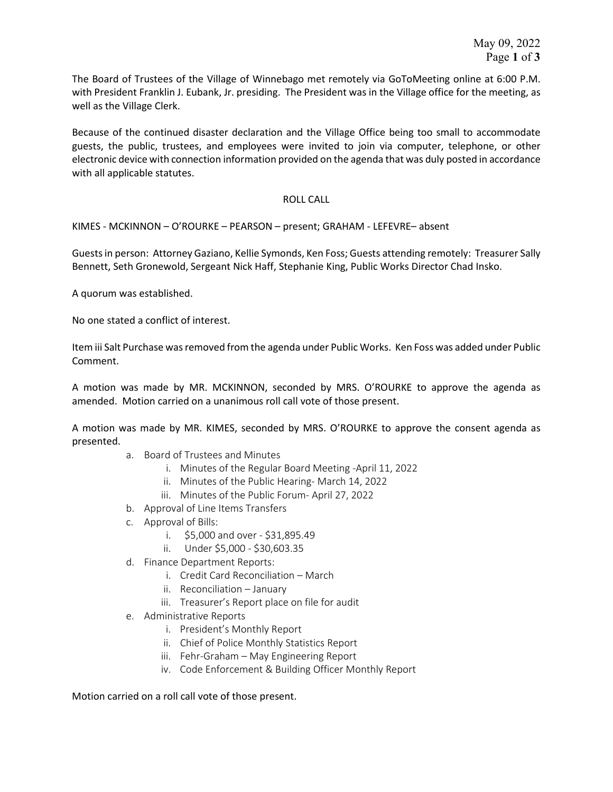The Board of Trustees of the Village of Winnebago met remotely via GoToMeeting online at 6:00 P.M. with President Franklin J. Eubank, Jr. presiding. The President was in the Village office for the meeting, as well as the Village Clerk.

Because of the continued disaster declaration and the Village Office being too small to accommodate guests, the public, trustees, and employees were invited to join via computer, telephone, or other electronic device with connection information provided on the agenda that was duly posted in accordance with all applicable statutes.

## ROLL CALL

KIMES - MCKINNON – O'ROURKE – PEARSON – present; GRAHAM - LEFEVRE– absent

Guestsin person: Attorney Gaziano, Kellie Symonds, Ken Foss; Guests attending remotely: Treasurer Sally Bennett, Seth Gronewold, Sergeant Nick Haff, Stephanie King, Public Works Director Chad Insko.

A quorum was established.

No one stated a conflict of interest.

Item iii Salt Purchase was removed from the agenda under Public Works. Ken Foss was added under Public Comment.

A motion was made by MR. MCKINNON, seconded by MRS. O'ROURKE to approve the agenda as amended. Motion carried on a unanimous roll call vote of those present.

A motion was made by MR. KIMES, seconded by MRS. O'ROURKE to approve the consent agenda as presented.

- a. Board of Trustees and Minutes
	- i. Minutes of the Regular Board Meeting -April 11, 2022
	- ii. Minutes of the Public Hearing- March 14, 2022
	- iii. Minutes of the Public Forum- April 27, 2022
- b. Approval of Line Items Transfers
- c. Approval of Bills:
	- i. \$5,000 and over \$31,895.49
	- ii. Under \$5,000 \$30,603.35
- d. Finance Department Reports:
	- i. Credit Card Reconciliation March
	- ii. Reconciliation January
	- iii. Treasurer's Report place on file for audit
- e. Administrative Reports
	- i. President's Monthly Report
	- ii. Chief of Police Monthly Statistics Report
	- iii. Fehr-Graham May Engineering Report
	- iv. Code Enforcement & Building Officer Monthly Report

Motion carried on a roll call vote of those present.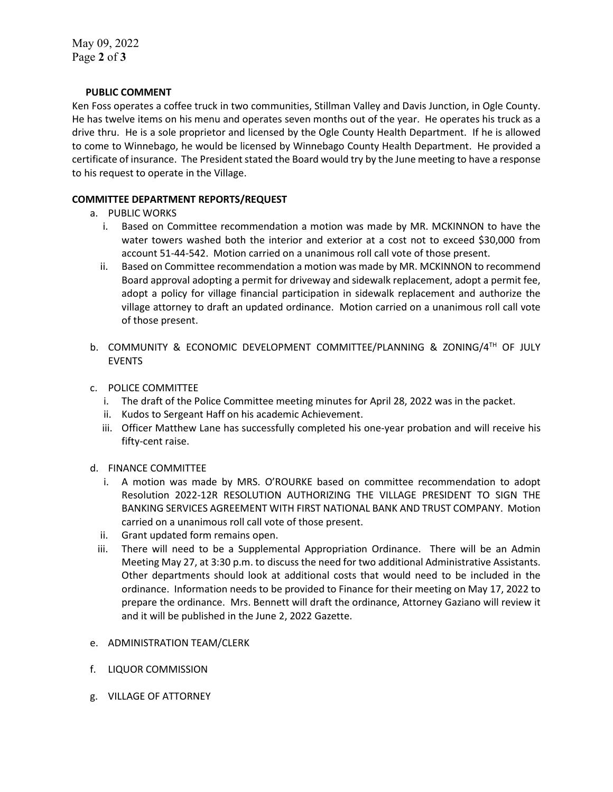May 09, 2022 Page **2** of **3**

## **PUBLIC COMMENT**

Ken Foss operates a coffee truck in two communities, Stillman Valley and Davis Junction, in Ogle County. He has twelve items on his menu and operates seven months out of the year. He operates his truck as a drive thru. He is a sole proprietor and licensed by the Ogle County Health Department. If he is allowed to come to Winnebago, he would be licensed by Winnebago County Health Department. He provided a certificate of insurance. The President stated the Board would try by the June meeting to have a response to his request to operate in the Village.

## **COMMITTEE DEPARTMENT REPORTS/REQUEST**

- a. PUBLIC WORKS
	- i. Based on Committee recommendation a motion was made by MR. MCKINNON to have the water towers washed both the interior and exterior at a cost not to exceed \$30,000 from account 51-44-542. Motion carried on a unanimous roll call vote of those present.
	- ii. Based on Committee recommendation a motion was made by MR. MCKINNON to recommend Board approval adopting a permit for driveway and sidewalk replacement, adopt a permit fee, adopt a policy for village financial participation in sidewalk replacement and authorize the village attorney to draft an updated ordinance. Motion carried on a unanimous roll call vote of those present.
- b. COMMUNITY & ECONOMIC DEVELOPMENT COMMITTEE/PLANNING & ZONING/4TH OF JULY EVENTS
- c. POLICE COMMITTEE
	- i. The draft of the Police Committee meeting minutes for April 28, 2022 was in the packet.
	- ii. Kudos to Sergeant Haff on his academic Achievement.
	- iii. Officer Matthew Lane has successfully completed his one-year probation and will receive his fifty-cent raise.
- d. FINANCE COMMITTEE
	- i. A motion was made by MRS. O'ROURKE based on committee recommendation to adopt Resolution 2022-12R RESOLUTION AUTHORIZING THE VILLAGE PRESIDENT TO SIGN THE BANKING SERVICES AGREEMENT WITH FIRST NATIONAL BANK AND TRUST COMPANY. Motion carried on a unanimous roll call vote of those present.
	- ii. Grant updated form remains open.
	- iii. There will need to be a Supplemental Appropriation Ordinance. There will be an Admin Meeting May 27, at 3:30 p.m. to discuss the need for two additional Administrative Assistants. Other departments should look at additional costs that would need to be included in the ordinance. Information needs to be provided to Finance for their meeting on May 17, 2022 to prepare the ordinance. Mrs. Bennett will draft the ordinance, Attorney Gaziano will review it and it will be published in the June 2, 2022 Gazette.
- e. ADMINISTRATION TEAM/CLERK
- f. LIQUOR COMMISSION
- g. VILLAGE OF ATTORNEY